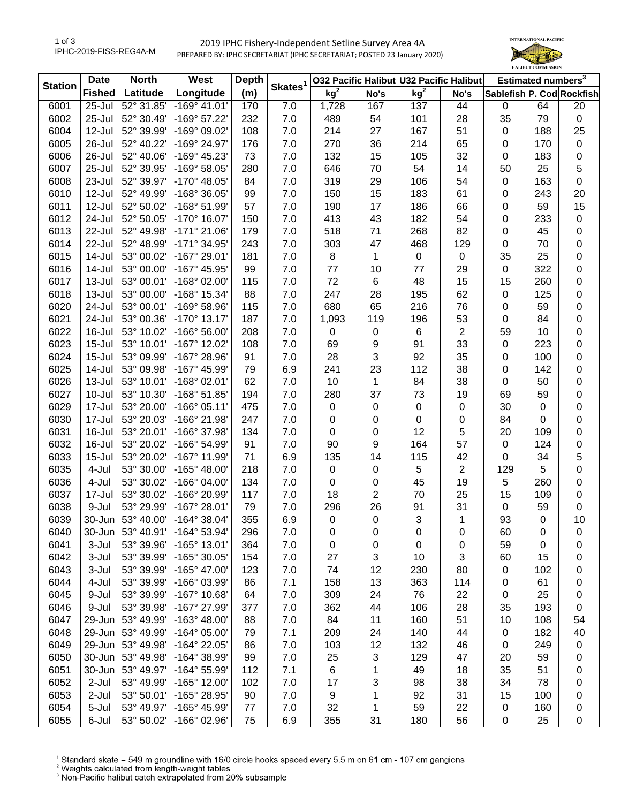## 2019 IPHC Fishery-Independent Setline Survey Area 4A PREPARED BY: IPHC SECRETARIAT (IPHC SECRETARIAT; POSTED 23 January 2020)



| <b>Station</b> | <b>Date</b>   | <b>North</b>       | West                  | <b>Depth</b> | Skates <sup>1</sup> |             |      | 032 Pacific Halibut U32 Pacific Halibut |                | Estimated numbers <sup>3</sup> |     |                  |
|----------------|---------------|--------------------|-----------------------|--------------|---------------------|-------------|------|-----------------------------------------|----------------|--------------------------------|-----|------------------|
|                | <b>Fished</b> | Latitude           | Longitude             | (m)          |                     | $kg^2$      | No's | kg <sup>2</sup>                         | No's           | Sablefish P. Cod Rockfish      |     |                  |
| 6001           | 25-Jul        | 52° 31.85'         | $-169°$ 41.01'        | 170          | 7.0                 | 1,728       | 167  | 137                                     | 44             | 0                              | 64  | 20               |
| 6002           | 25-Jul        | 52° 30.49'         | -169° 57.22'          | 232          | 7.0                 | 489         | 54   | 101                                     | 28             | 35                             | 79  | $\boldsymbol{0}$ |
| 6004           | 12-Jul        | 52° 39.99'         | -169° 09.02'          | 108          | 7.0                 | 214         | 27   | 167                                     | 51             | 0                              | 188 | 25               |
| 6005           | 26-Jul        | 52° 40.22'         | -169° 24.97'          | 176          | 7.0                 | 270         | 36   | 214                                     | 65             | 0                              | 170 | $\mathbf 0$      |
| 6006           | 26-Jul        | 52° 40.06'         | -169° 45.23'          | 73           | 7.0                 | 132         | 15   | 105                                     | 32             | $\mathbf 0$                    | 183 | $\pmb{0}$        |
| 6007           | 25-Jul        | 52° 39.95'         | -169° 58.05'          | 280          | 7.0                 | 646         | 70   | 54                                      | 14             | 50                             | 25  | 5                |
| 6008           | 23-Jul        | 52° 39.97'         | -170° 48.05'          | 84           | 7.0                 | 319         | 29   | 106                                     | 54             | 0                              | 163 | $\boldsymbol{0}$ |
| 6010           | 12-Jul        | 52° 49.99'         | -168° 36.05'          | 99           | 7.0                 | 150         | 15   | 183                                     | 61             | 0                              | 243 | 20               |
| 6011           | 12-Jul        | 52° 50.02'         | -168° 51.99'          | 57           | 7.0                 | 190         | 17   | 186                                     | 66             | 0                              | 59  | 15               |
| 6012           | 24-Jul        | 52° 50.05'         | -170° 16.07'          | 150          | 7.0                 | 413         | 43   | 182                                     | 54             | 0                              | 233 | $\pmb{0}$        |
| 6013           | 22-Jul        | 52° 49.98'         | $-171°$ 21.06'        | 179          | 7.0                 | 518         | 71   | 268                                     | 82             | 0                              | 45  | $\pmb{0}$        |
| 6014           | 22-Jul        | 52° 48.99'         | -171° 34.95'          | 243          | 7.0                 | 303         | 47   | 468                                     | 129            | $\mathbf 0$                    | 70  | $\boldsymbol{0}$ |
| 6015           | 14-Jul        | 53° 00.02'         | -167° 29.01'          | 181          | 7.0                 | 8           | 1    | $\mathbf 0$                             | 0              | 35                             | 25  | $\pmb{0}$        |
| 6016           | 14-Jul        | 53° 00.00'         | -167° 45.95'          | 99           | 7.0                 | 77          | 10   | 77                                      | 29             | $\pmb{0}$                      | 322 | $\pmb{0}$        |
| 6017           | 13-Jul        | 53° 00.01'         | -168° 02.00'          | 115          | 7.0                 | 72          | 6    | 48                                      | 15             | 15                             | 260 | $\boldsymbol{0}$ |
| 6018           | $13 -$ Jul    | 53° 00.00'         | -168° 15.34'          | 88           | 7.0                 | 247         | 28   | 195                                     | 62             | 0                              | 125 | $\boldsymbol{0}$ |
| 6020           | 24-Jul        | 53° 00.01'         | -169° 58.96'          | 115          | 7.0                 | 680         | 65   | 216                                     | 76             | 0                              | 59  | $\boldsymbol{0}$ |
| 6021           | 24-Jul        | 53° 00.36'         | -170° 13.17'          | 187          | 7.0                 | 1,093       | 119  | 196                                     | 53             | 0                              | 84  | $\pmb{0}$        |
| 6022           | 16-Jul        | 53° 10.02'         | -166° 56.00'          | 208          | 7.0                 | 0           | 0    | 6                                       | $\overline{2}$ | 59                             | 10  | $\boldsymbol{0}$ |
| 6023           | $15 -$ Jul    | 53° 10.01'         | -167° 12.02'          | 108          | 7.0                 | 69          | 9    | 91                                      | 33             | 0                              | 223 | $\pmb{0}$        |
| 6024           | $15 -$ Jul    | 53° 09.99'         | -167° 28.96'          | 91           | 7.0                 | 28          | 3    | 92                                      | 35             | 0                              | 100 | $\pmb{0}$        |
| 6025           | 14-Jul        | 53° 09.98'         | -167° 45.99'          | 79           | 6.9                 | 241         | 23   | 112                                     | 38             | 0                              | 142 | $\pmb{0}$        |
| 6026           | 13-Jul        | 53° 10.01'         | -168° 02.01'          | 62           | 7.0                 | 10          | 1    | 84                                      | 38             | 0                              | 50  | $\boldsymbol{0}$ |
| 6027           | $10 -$ Jul    | 53° 10.30'         | -168° 51.85'          | 194          | 7.0                 | 280         | 37   | 73                                      | 19             | 69                             | 59  | $\boldsymbol{0}$ |
| 6029           | 17-Jul        | 53° 20.00'         | $-166°05.11'$         | 475          | 7.0                 | 0           | 0    | 0                                       | 0              | 30                             | 0   | $\boldsymbol{0}$ |
| 6030           | 17-Jul        | 53° 20.03'         | -166° 21.98'          | 247          | 7.0                 | $\pmb{0}$   | 0    | 0                                       | 0              | 84                             | 0   | $\boldsymbol{0}$ |
| 6031           | 16-Jul        | 53° 20.01'         | -166° 37.98'          | 134          | 7.0                 | $\pmb{0}$   | 0    | 12                                      | 5              | 20                             | 109 | $\boldsymbol{0}$ |
| 6032           | 16-Jul        | 53° 20.02'         | -166° 54.99'          | 91           | 7.0                 | 90          | 9    | 164                                     | 57             | $\mathbf 0$                    | 124 | $\pmb{0}$        |
| 6033           | $15 -$ Jul    | 53° 20.02'         | -167° 11.99'          | 71           | 6.9                 | 135         | 14   | 115                                     | 42             | $\mathbf 0$                    | 34  | 5                |
| 6035           | 4-Jul         | 53° 30.00'         | -165° 48.00'          | 218          | 7.0                 | $\mathbf 0$ | 0    | 5                                       | $\overline{2}$ | 129                            | 5   | $\boldsymbol{0}$ |
| 6036           | 4-Jul         | 53° 30.02'         | -166° 04.00'          | 134          | 7.0                 | $\mathbf 0$ | 0    | 45                                      | 19             | 5                              | 260 | $\boldsymbol{0}$ |
| 6037           | 17-Jul        | 53° 30.02'         | -166° 20.99'          | 117          | 7.0                 | 18          | 2    | 70                                      | 25             | 15                             | 109 | $\boldsymbol{0}$ |
|                | 9-Jul         |                    |                       |              |                     |             |      |                                         |                |                                |     |                  |
| 6038           |               | 53° 29.99'         | -167° 28.01'          | 79           | $7.0$               | 296         | 26   | 91                                      | 31             | $\mathbf 0$                    | 59  | $\boldsymbol{0}$ |
| 6039           | 30-Jun        | 53° 40.00'         | $-164^{\circ}$ 38.04' | 355          | 6.9                 | 0           | 0    | $\sqrt{3}$                              | 1              | 93                             | 0   | 10               |
| 6040           | 30-Jun        | $53^{\circ}$ 40.91 | $-164^{\circ}$ 53.94' | 296          | 7.0                 | 0           | 0    | 0                                       | 0              | 60                             | 0   | 0                |
| 6041           | 3-Jul         | 53° 39.96'         | -165° 13.01'          | 364          | 7.0                 | 0           | 0    | 0                                       | 0              | 59                             | 0   | 0                |
| 6042           | 3-Jul         | 53° 39.99'         | -165° 30.05'          | 154          | $7.0$               | 27          | 3    | 10                                      | 3              | 60                             | 15  | 0                |
| 6043           | 3-Jul         | 53° 39.99'         | -165° 47.00'          | 123          | 7.0                 | 74          | 12   | 230                                     | 80             | 0                              | 102 | 0                |
| 6044           | 4-Jul         | 53° 39.99'         | -166° 03.99'          | 86           | 7.1                 | 158         | 13   | 363                                     | 114            | 0                              | 61  | 0                |
| 6045           | 9-Jul         | 53° 39.99'         | -167° 10.68'          | 64           | 7.0                 | 309         | 24   | 76                                      | 22             | 0                              | 25  | 0                |
| 6046           | 9-Jul         | 53° 39.98'         | -167° 27.99'          | 377          | 7.0                 | 362         | 44   | 106                                     | 28             | 35                             | 193 | 0                |
| 6047           | 29-Jun        | 53° 49.99'         | $-163^{\circ}$ 48.00' | 88           | 7.0                 | 84          | 11   | 160                                     | 51             | 10                             | 108 | 54               |
| 6048           | 29-Jun        | 53° 49.99'         | $-164^{\circ}$ 05.00' | 79           | 7.1                 | 209         | 24   | 140                                     | 44             | 0                              | 182 | 40               |
| 6049           | 29-Jun        | 53° 49.98'         | -164° 22.05'          | 86           | 7.0                 | 103         | 12   | 132                                     | 46             | 0                              | 249 | $\pmb{0}$        |
| 6050           | 30-Jun        | 53° 49.98'         | -164° 38.99'          | 99           | $7.0\,$             | 25          | 3    | 129                                     | 47             | 20                             | 59  | 0                |
| 6051           | 30-Jun        | 53° 49.97'         | -164° 55.99'          | 112          | 7.1                 | 6           | 1    | 49                                      | 18             | 35                             | 51  | 0                |
| 6052           | $2-Jul$       | 53° 49.99'         | -165° 12.00'          | 102          | $7.0$               | 17          | 3    | 98                                      | 38             | 34                             | 78  | 0                |
| 6053           | 2-Jul         | 53° 50.01'         | -165° 28.95'          | 90           | 7.0                 | 9           | 1    | 92                                      | 31             | 15                             | 100 | 0                |
| 6054           | 5-Jul         | 53° 49.97'         | -165° 45.99'          | 77           | $7.0$               | 32          | 1    | 59                                      | 22             | 0                              | 160 | 0                |
| 6055           | 6-Jul         | 53° 50.02'         | -166° 02.96'          | 75           | 6.9                 | 355         | 31   | 180                                     | 56             | $\pmb{0}$                      | 25  | 0                |

<sup>1</sup> Standard skate = 549 m groundline with 16/0 circle hooks spaced every 5.5 m on 61 cm - 107 cm gangions <sup>2</sup> Weights calculated from length-weight tables<br><sup>2</sup> Weights calculated from length-weight tables<br><sup>3</sup> Non-Pacific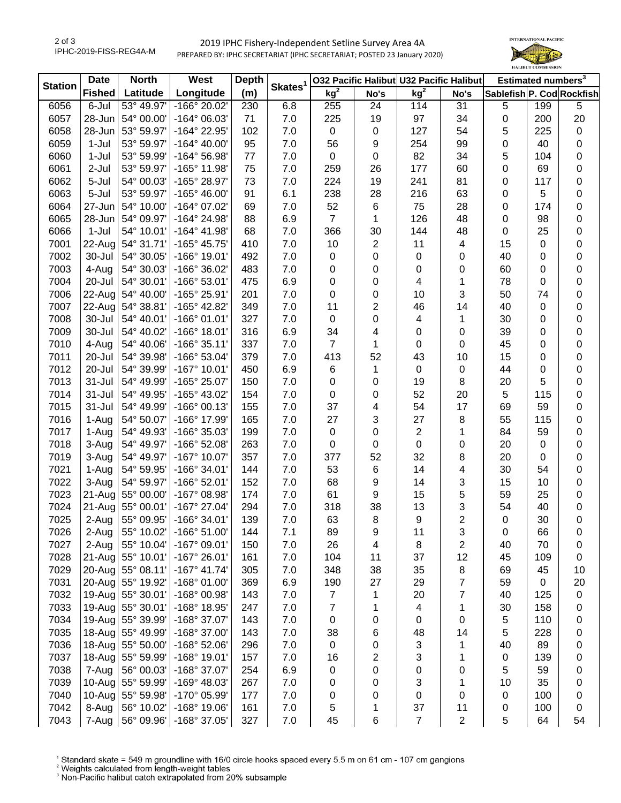## 2019 IPHC Fishery-Independent Setline Survey Area 4A PREPARED BY: IPHC SECRETARIAT (IPHC SECRETARIAT; POSTED 23 January 2020)



| <b>Station</b> | <b>Date</b>   | <b>North</b> | West                         | <b>Depth</b> |                     | 032 Pacific Halibut U32 Pacific Halibut |                |                 |                | Estimated numbers <sup>3</sup> |     |                  |
|----------------|---------------|--------------|------------------------------|--------------|---------------------|-----------------------------------------|----------------|-----------------|----------------|--------------------------------|-----|------------------|
|                | <b>Fished</b> | Latitude     | Longitude                    | (m)          | Skates <sup>1</sup> | kg <sup>2</sup>                         | No's           | kg <sup>2</sup> | No's           | Sablefish P. Cod Rockfish      |     |                  |
| 6056           | 6-Jul         | 53° 49.97'   | -166° 20.02'                 | 230          | 6.8                 | 255                                     | 24             | 114             | 31             | 5                              | 199 | 5                |
| 6057           | 28-Jun        | 54° 00.00'   | -164° 06.03'                 | 71           | 7.0                 | 225                                     | 19             | 97              | 34             | 0                              | 200 | 20               |
| 6058           | 28-Jun        | 53° 59.97'   | -164° 22.95'                 | 102          | 7.0                 | 0                                       | $\mathbf 0$    | 127             | 54             | 5                              | 225 | $\pmb{0}$        |
| 6059           | 1-Jul         | 53° 59.97'   | $-164^{\circ}$ 40.00'        | 95           | 7.0                 | 56                                      | 9              | 254             | 99             | 0                              | 40  | $\boldsymbol{0}$ |
| 6060           | 1-Jul         | 53° 59.99'   | -164° 56.98'                 | 77           | 7.0                 | 0                                       | 0              | 82              | 34             | 5                              | 104 | 0                |
| 6061           | 2-Jul         | 53° 59.97'   | -165° 11.98'                 | 75           | 7.0                 | 259                                     | 26             | 177             | 60             | 0                              | 69  | 0                |
| 6062           | 5-Jul         | 54° 00.03'   | -165° 28.97'                 | 73           | 7.0                 | 224                                     | 19             | 241             | 81             | 0                              | 117 | 0                |
| 6063           | 5-Jul         | 53° 59.97'   | -165° 46.00'                 | 91           | 6.1                 | 238                                     | 28             | 216             | 63             | 0                              | 5   | 0                |
| 6064           | 27-Jun        | 54° 10.00'   | -164° 07.02'                 | 69           | 7.0                 | 52                                      | 6              | 75              | 28             | 0                              | 174 | 0                |
| 6065           | 28-Jun        | 54° 09.97'   | -164° 24.98'                 | 88           | 6.9                 | $\overline{7}$                          | 1              | 126             | 48             | 0                              | 98  | $\boldsymbol{0}$ |
| 6066           | $1-Jul$       | 54° 10.01'   | -164° 41.98'                 | 68           | 7.0                 | 366                                     | 30             | 144             | 48             | 0                              | 25  | $\pmb{0}$        |
| 7001           | 22-Aug        | 54° 31.71'   | -165° 45.75'                 | 410          | 7.0                 | 10                                      | $\overline{2}$ | 11              | 4              | 15                             | 0   | $\boldsymbol{0}$ |
| 7002           | 30-Jul        | 54° 30.05'   | -166° 19.01'                 | 492          | 7.0                 | 0                                       | 0              | $\pmb{0}$       | 0              | 40                             | 0   | $\pmb{0}$        |
| 7003           | 4-Aug         | 54° 30.03'   | -166° 36.02'                 | 483          | 7.0                 | 0                                       | 0              | $\pmb{0}$       | 0              | 60                             | 0   | $\pmb{0}$        |
| 7004           | 20-Jul        | 54° 30.01'   | -166° 53.01'                 | 475          | 6.9                 | 0                                       | 0              | 4               | 1              | 78                             | 0   | $\boldsymbol{0}$ |
| 7006           | 22-Aug        | 54° 40.00'   | -165° 25.91'                 | 201          | 7.0                 | 0                                       | 0              | 10              | 3              | 50                             | 74  | $\boldsymbol{0}$ |
| 7007           | 22-Aug        | 54° 38.81'   | -165° 42.82'                 | 349          | 7.0                 | 11                                      | 2              | 46              | 14             | 40                             | 0   | $\boldsymbol{0}$ |
| 7008           | 30-Jul        | 54° 40.01'   | $-166°$ 01.01'               | 327          | 7.0                 | $\mathbf 0$                             | 0              | 4               | 1              | 30                             | 0   | $\boldsymbol{0}$ |
| 7009           | 30-Jul        | 54° 40.02'   | -166° 18.01'                 | 316          | 6.9                 | 34                                      | 4              | 0               | 0              | 39                             | 0   | $\pmb{0}$        |
| 7010           | 4-Aug         | 54° 40.06'   | $-166°35.11'$                | 337          | 7.0                 | $\overline{7}$                          | 1              | 0               | 0              | 45                             | 0   | $\boldsymbol{0}$ |
| 7011           | 20-Jul        | 54° 39.98'   | -166° 53.04'                 | 379          | 7.0                 | 413                                     | 52             | 43              | 10             | 15                             | 0   | 0                |
| 7012           | 20-Jul        | 54° 39.99'   | -167° 10.01'                 | 450          | 6.9                 | 6                                       | 1              | $\pmb{0}$       | $\pmb{0}$      | 44                             | 0   | $\pmb{0}$        |
| 7013           | 31-Jul        | 54° 49.99'   | -165° 25.07'                 | 150          | 7.0                 | 0                                       | 0              | 19              | 8              | 20                             | 5   | $\boldsymbol{0}$ |
| 7014           | 31-Jul        | 54° 49.95'   | -165° 43.02'                 | 154          | 7.0                 | 0                                       | 0              | 52              | 20             | 5                              | 115 | 0                |
| 7015           | 31-Jul        | 54° 49.99'   | -166° 00.13'                 | 155          | 7.0                 | 37                                      | 4              | 54              | 17             | 69                             | 59  | 0                |
| 7016           | 1-Aug         | 54° 50.07'   | -166° 17.99'                 | 165          | 7.0                 | 27                                      | 3              | 27              | 8              | 55                             | 115 | 0                |
| 7017           | 1-Aug         | 54° 49.93'   | -166° 35.03'                 | 199          | 7.0                 | $\pmb{0}$                               | 0              | $\overline{2}$  | 1              | 84                             | 59  | $\boldsymbol{0}$ |
| 7018           | 3-Aug         | 54° 49.97'   | -166° 52.08'                 | 263          | 7.0                 | 0                                       | 0              | $\pmb{0}$       | 0              | 20                             | 0   | $\pmb{0}$        |
| 7019           | 3-Aug         | 54° 49.97'   | -167° 10.07'                 | 357          | 7.0                 | 377                                     | 52             | 32              | 8              | 20                             | 0   | $\boldsymbol{0}$ |
| 7021           | 1-Aug         | 54° 59.95'   | -166° 34.01'                 | 144          | 7.0                 | 53                                      | 6              | 14              | 4              | 30                             | 54  | $\pmb{0}$        |
| 7022           | 3-Aug         | 54° 59.97'   | -166° 52.01'                 | 152          | 7.0                 | 68                                      | 9              | 14              | 3              | 15                             | 10  | $\pmb{0}$        |
| 7023           | 21-Aug        | 55° 00.00'   | -167° 08.98'                 | 174          | 7.0                 | 61                                      | 9              | 15              | 5              | 59                             | 25  | $\pmb{0}$        |
| 7024           | 21-Aug        | 55° 00.01'   | -167° 27.04'                 | 294          | 7.0                 | 318                                     | 38             | 13              | 3              | 54                             | 40  | $\pmb{0}$        |
| 7025           | 2-Aug         | 55° 09.95'   | -166° 34.01'                 | 139          | 7.0                 | 63                                      | 8              | 9               | $\overline{2}$ | $\pmb{0}$                      | 30  | $\boldsymbol{0}$ |
| 7026           | 2-Aug         | 55° 10.02'   | $-166^{\circ} 51.00^{\circ}$ | 144          | 7.1                 | 89                                      | 9              | 11              | 3              | 0                              | 66  | 0                |
| 7027           | 2-Aug         | 55° 10.04'   | -167° 09.01'                 | 150          | 7.0                 | 26                                      | 4              | 8               | 2              | 40                             | 70  | 0                |
| 7028           | $21-Aug$      | 55° 10.01'   | $-167^{\circ}$ 26.01'        | 161          | 7.0                 | 104                                     | 11             | 37              | 12             | 45                             | 109 | 0                |
| 7029           | $20 - Aug$    | 55° 08.11'   | $-167^\circ$ 41.74           | 305          | 7.0                 | 348                                     | 38             | 35              | 8              | 69                             | 45  | 10               |
| 7031           | $20 - Aug$    | 55° 19.92'   | $-168°01.00'$                | 369          | 6.9                 | 190                                     | 27             | 29              | 7              | 59                             | 0   | 20               |
| 7032           | $19$ -Aug     | 55° 30.01'   | -168° 00.98'                 | 143          | 7.0                 | 7                                       | 1              | 20              | 7              | 40                             | 125 | $\pmb{0}$        |
| 7033           | $19$ -Aug     | 55° 30.01'   | -168° 18.95'                 | 247          | 7.0                 | $\overline{7}$                          | 1              | 4               | 1              | 30                             | 158 | 0                |
| 7034           | $19$ -Aug     | 55° 39.99'   | -168° 37.07'                 | 143          | 7.0                 | 0                                       | 0              | 0               | 0              | 5                              | 110 | 0                |
| 7035           | $18 - Aug$    | 55° 49.99'   | -168° 37.00'                 | 143          | 7.0                 | 38                                      | 6              | 48              | 14             | 5                              | 228 | 0                |
| 7036           | $18 - Aug$    | 55° 50.00'   | $-168°52.06'$                | 296          | 7.0                 | $\pmb{0}$                               | 0              | 3               | 1              | 40                             | 89  | 0                |
| 7037           | 18-Aug        | 55° 59.99'   | $-168°$ 19.01'               | 157          | 7.0                 | 16                                      | 2              | 3               | 1              | $\pmb{0}$                      | 139 | 0                |
| 7038           | 7-Aug         | 56° 00.03'   | -168° 37.07'                 | 254          | 6.9                 | 0                                       | 0              | 0               | 0              | 5                              | 59  | 0                |
| 7039           | 10-Aug        | 55° 59.99'   | -169° 48.03'                 | 267          | 7.0                 | 0                                       | 0              | 3               | 1              | 10                             | 35  | 0                |
| 7040           | 10-Aug        | 55° 59.98'   | -170° 05.99'                 | 177          | 7.0                 | 0                                       | 0              | 0               | 0              | $\pmb{0}$                      | 100 | 0                |
| 7042           | 8-Aug         | 56° 10.02'   | -168° 19.06'                 | 161          | 7.0                 | 5                                       | 1              | 37              | 11             | 0                              | 100 | 0                |
| 7043           | 7-Aug         | 56° 09.96'   | -168° 37.05'                 | 327          | 7.0                 | 45                                      | 6              | $\overline{7}$  | $\overline{2}$ | 5                              | 64  | 54               |

<sup>1</sup> Standard skate = 549 m groundline with 16/0 circle hooks spaced every 5.5 m on 61 cm - 107 cm gangions <sup>2</sup> Weights calculated from length-weight tables<br><sup>2</sup> Weights calculated from length-weight tables<br><sup>3</sup> Non-Pacific